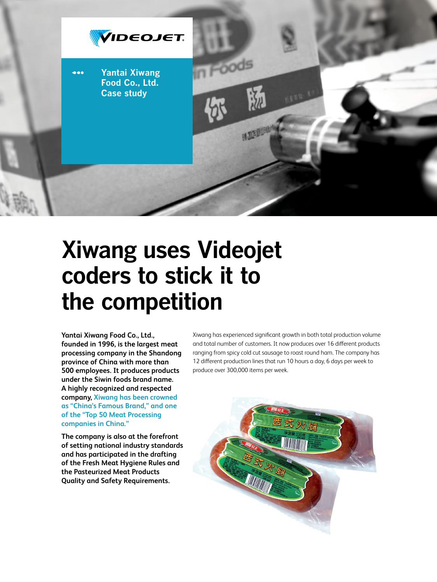

# **Xiwang uses Videojet coders to stick it to the competition**

**Yantai Xiwang Food Co., Ltd., founded in 1996, is the largest meat processing company in the Shandong province of China with more than 500 employees. It produces products under the Siwin foods brand name. A highly recognized and respected company, Xiwang has been crowned as "China's Famous Brand," and one of the "Top 50 Meat Processing companies in China."**

**The company is also at the forefront of setting national industry standards and has participated in the drafting of the Fresh Meat Hygiene Rules and the Pasteurized Meat Products Quality and Safety Requirements.** 

Xiwang has experienced significant growth in both total production volume and total number of customers. It now produces over 16 different products ranging from spicy cold cut sausage to roast round ham. The company has 12 different production lines that run 10 hours a day, 6 days per week to produce over 300,000 items per week.

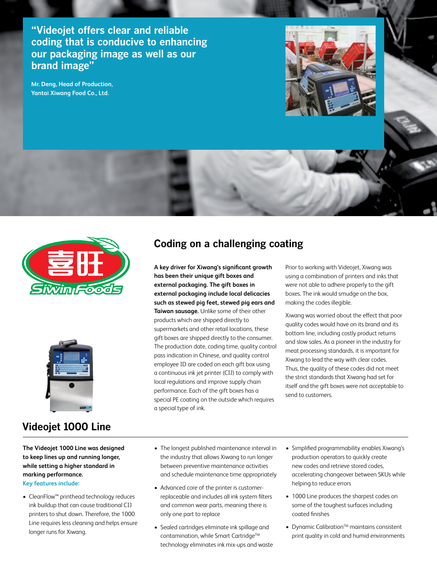**"Videojet offers clear and reliable coding that is conducive to enhancing our packaging image as well as our brand image"**

**Mr. Deng, Head of Production, Yantai Xiwang Food Co., Ltd.**





## **Videojet 1000 Line**

**The Videojet 1000 Line was designed to keep lines up and running longer, while setting a higher standard in marking performance.** 

**Key features include:**

• CleanFlow™ printhead technology reduces ink buildup that can cause traditional CIJ printers to shut down. Therefore, the 1000 Line requires less cleaning and helps ensure longer runs for Xiwang.

# **Coding on a challenging coating**

**A key driver for Xiwang's significant growth has been their unique gift boxes and external packaging. The gift boxes in external packaging include local delicacies such as stewed pig feet, stewed pig ears and Taiwan sausage.** Unlike some of their other products which are shipped directly to supermarkets and other retail locations, these gift boxes are shipped directly to the consumer. The production date, coding time, quality control pass indication in Chinese, and quality control employee ID are coded on each gift box using a continuous ink jet printer (CIJ) to comply with local regulations and improve supply chain performance. Each of the gift boxes has a special PE coating on the outside which requires a special type of ink.

Prior to working with Videojet, Xiwang was using a combination of printers and inks that were not able to adhere properly to the gift boxes. The ink would smudge on the box, making the codes illegible.

Xiwang was worried about the effect that poor quality codes would have on its brand and its bottom line, including costly product returns and slow sales. As a pioneer in the industry for meat processing standards, it is important for Xiwang to lead the way with clear codes. Thus, the quality of these codes did not meet the strict standards that Xiwang had set for itself and the gift boxes were not acceptable to send to customers.

- The longest published maintenance interval in the industry that allows Xiwang to run longer between preventive maintenance activities and schedule maintenance time appropriately
- • Advanced core of the printer is customerreplaceable and includes all ink system filters and common wear parts, meaning there is only one part to replace
- Sealed cartridges eliminate ink spillage and contamination, while Smart Cartridge™ technology eliminates ink mix-ups and waste
- • Simplified programmability enables Xiwang's production operators to quickly create new codes and retrieve stored codes, accelerating changeover between SKUs while helping to reduce errors
- 1000 Line produces the sharpest codes on some of the toughest surfaces including coated finishes
- Dynamic Calibration<sup>™</sup> maintains consistent print quality in cold and humid environments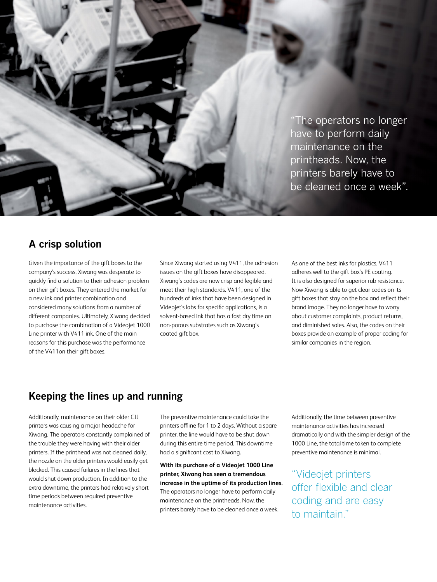"The operators no longer have to perform daily maintenance on the printheads. Now, the printers barely have to be cleaned once a week".

### **A crisp solution**

Given the importance of the gift boxes to the company's success, Xiwang was desperate to quickly find a solution to their adhesion problem on their gift boxes. They entered the market for a new ink and printer combination and considered many solutions from a number of different companies. Ultimately, Xiwang decided to purchase the combination of a Videojet 1000 Line printer with V411 ink. One of the main reasons for this purchase was the performance of the V411on their gift boxes.

Since Xiwang started using V411, the adhesion issues on the gift boxes have disappeared. Xiwang's codes are now crisp and legible and meet their high standards. V411, one of the hundreds of inks that have been designed in Videojet's labs for specific applications, is a solvent-based ink that has a fast dry time on non-porous substrates such as Xiwang's coated gift box.

As one of the best inks for plastics, V411 adheres well to the gift box's PE coating. It is also designed for superior rub resistance. Now Xiwang is able to get clear codes on its gift boxes that stay on the box and reflect their brand image. They no longer have to worry about customer complaints, product returns, and diminished sales. Also, the codes on their boxes provide an example of proper coding for similar companies in the region.

## **Keeping the lines up and running**

Additionally, maintenance on their older CIJ printers was causing a major headache for Xiwang. The operators constantly complained of the trouble they were having with their older printers. If the printhead was not cleaned daily, the nozzle on the older printers would easily get blocked. This caused failures in the lines that would shut down production. In addition to the extra downtime, the printers had relatively short time periods between required preventive maintenance activities.

The preventive maintenance could take the printers offline for 1 to 2 days. Without a spare printer, the line would have to be shut down during this entire time period. This downtime had a significant cost to Xiwang.

**With its purchase of a Videojet 1000 Line printer, Xiwang has seen a tremendous increase in the uptime of its production lines.**  The operators no longer have to perform daily maintenance on the printheads. Now, the printers barely have to be cleaned once a week.

Additionally, the time between preventive maintenance activities has increased dramatically and with the simpler design of the 1000 Line, the total time taken to complete preventive maintenance is minimal.

"Videojet printers offer flexible and clear coding and are easy to maintain."